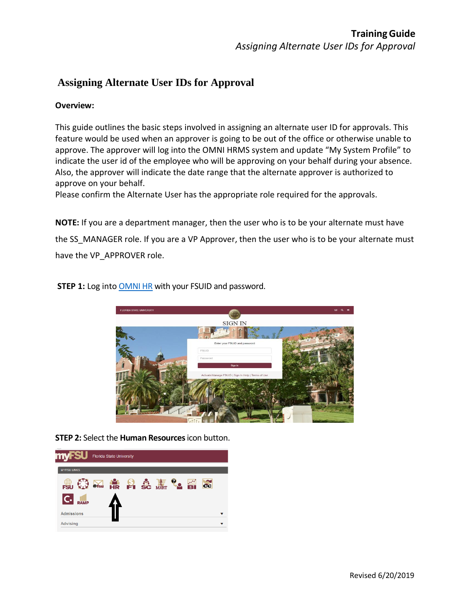## **Assigning Alternate User IDs for Approval**

## **Overview:**

This guide outlines the basic steps involved in assigning an alternate user ID for approvals. This feature would be used when an approver is going to be out of the office or otherwise unable to approve. The approver will log into the OMNI HRMS system and update "My System Profile" to indicate the user id of the employee who will be approving on your behalf during your absence. Also, the approver will indicate the date range that the alternate approver is authorized to approve on your behalf.

Please confirm the Alternate User has the appropriate role required for the approvals.

**NOTE:** If you are a department manager, then the user who is to be your alternate must have the SS MANAGER role. If you are a VP Approver, then the user who is to be your alternate must have the VP\_APPROVER role.

**STEP 1:** Log into [OMNI HR](https://www.my.fsu.edu/) with your FSUID and password.



**STEP 2:** Select the **Human Resources**icon button.

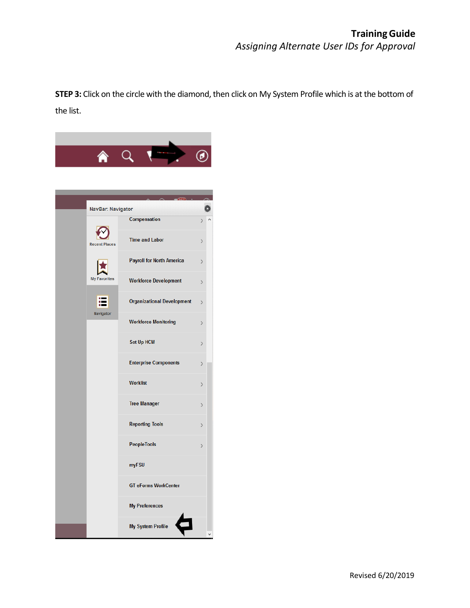**STEP 3:** Click on the circle with the diamond, then click on My System Profile which is at the bottom of the list.

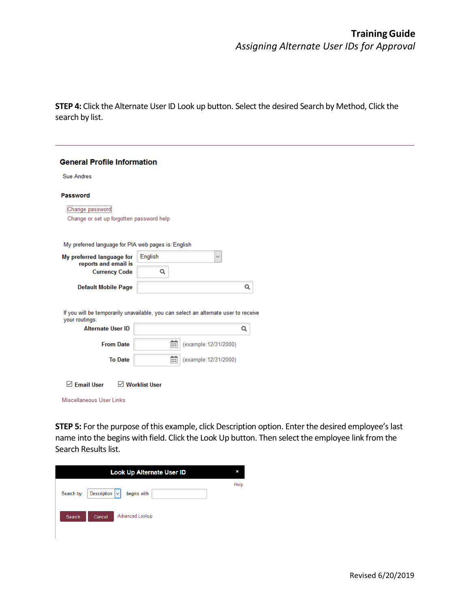**STEP 4:** Click the Alternate User ID Look up button. Select the desired Search by Method, Click the search by list.

| <b>General Profile Information</b>                                                                    |                      |   |                       |   |  |  |  |  |
|-------------------------------------------------------------------------------------------------------|----------------------|---|-----------------------|---|--|--|--|--|
| <b>Sue Andres</b>                                                                                     |                      |   |                       |   |  |  |  |  |
| <b>Password</b>                                                                                       |                      |   |                       |   |  |  |  |  |
| <br>Change password<br>Change or set up forgotten password help                                       |                      |   |                       |   |  |  |  |  |
| My preferred language for PIA web pages is: English                                                   |                      |   |                       |   |  |  |  |  |
| My preferred language for<br>reports and email is                                                     | English              |   |                       |   |  |  |  |  |
| <b>Currency Code</b>                                                                                  | Q                    |   |                       |   |  |  |  |  |
| <b>Default Mobile Page</b>                                                                            |                      |   |                       | Q |  |  |  |  |
| If you will be temporarily unavailable, you can select an alternate user to receive<br>your routings. |                      |   |                       |   |  |  |  |  |
| <b>Alternate User ID</b>                                                                              |                      |   |                       | Q |  |  |  |  |
| <b>From Date</b>                                                                                      |                      | m | (example: 12/31/2000) |   |  |  |  |  |
| <b>To Date</b>                                                                                        |                      | m | (example: 12/31/2000) |   |  |  |  |  |
| <b>⊡</b> Email User<br>Miscellaneous User Links                                                       | $\vee$ Worklist User |   |                       |   |  |  |  |  |

**STEP 5:** For the purpose of this example, click Description option. Enter the desired employee's last name into the begins with field. Click the Look Up button. Then select the employee link from the Search Results list.

| <b>Look Up Alternate User ID</b> |                                                     |      |  |  |  |
|----------------------------------|-----------------------------------------------------|------|--|--|--|
| Search by:                       | Description $\vert \mathbf{v} \vert$<br>begins with | Help |  |  |  |
| Search                           | <b>Advanced Lookup</b><br>Cancel                    |      |  |  |  |